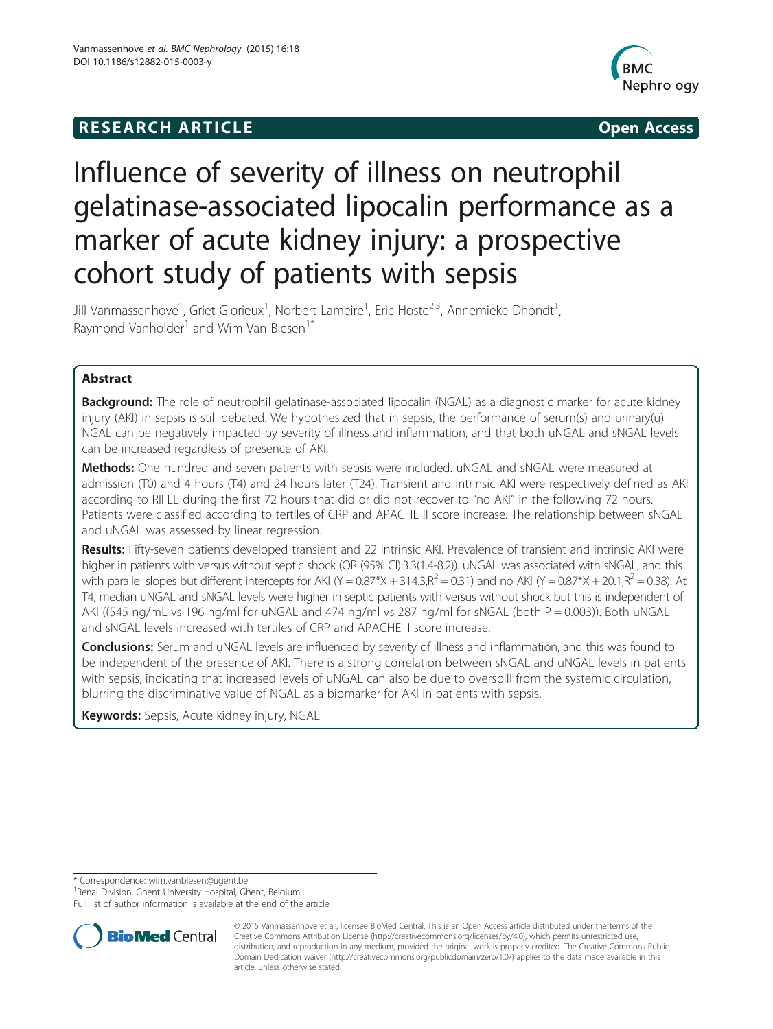# **RESEARCH ARTICLE Example 2018 12:00 Open Access**



# Influence of severity of illness on neutrophil gelatinase-associated lipocalin performance as a marker of acute kidney injury: a prospective cohort study of patients with sepsis

Jill Vanmassenhove<sup>1</sup>, Griet Glorieux<sup>1</sup>, Norbert Lameire<sup>1</sup>, Eric Hoste<sup>2,3</sup>, Annemieke Dhondt<sup>1</sup> , Raymond Vanholder<sup>1</sup> and Wim Van Biesen<sup>1\*</sup>

# Abstract

Background: The role of neutrophil gelatinase-associated lipocalin (NGAL) as a diagnostic marker for acute kidney injury (AKI) in sepsis is still debated. We hypothesized that in sepsis, the performance of serum(s) and urinary(u) NGAL can be negatively impacted by severity of illness and inflammation, and that both uNGAL and sNGAL levels can be increased regardless of presence of AKI.

Methods: One hundred and seven patients with sepsis were included. uNGAL and sNGAL were measured at admission (T0) and 4 hours (T4) and 24 hours later (T24). Transient and intrinsic AKI were respectively defined as AKI according to RIFLE during the first 72 hours that did or did not recover to "no AKI" in the following 72 hours. Patients were classified according to tertiles of CRP and APACHE II score increase. The relationship between sNGAL and uNGAL was assessed by linear regression.

Results: Fifty-seven patients developed transient and 22 intrinsic AKI. Prevalence of transient and intrinsic AKI were higher in patients with versus without septic shock (OR (95% CI):3.3(1.4-8.2)). uNGAL was associated with sNGAL, and this with parallel slopes but different intercepts for AKI (Y =  $0.87^*X + 314.3_R^2 = 0.31$ ) and no AKI (Y =  $0.87^*X + 20.1_R^2 = 0.38$ ). At T4, median uNGAL and sNGAL levels were higher in septic patients with versus without shock but this is independent of AKI ((545 ng/mL vs 196 ng/ml for uNGAL and 474 ng/ml vs 287 ng/ml for sNGAL (both P = 0.003)). Both uNGAL and sNGAL levels increased with tertiles of CRP and APACHE II score increase.

**Conclusions:** Serum and uNGAL levels are influenced by severity of illness and inflammation, and this was found to be independent of the presence of AKI. There is a strong correlation between sNGAL and uNGAL levels in patients with sepsis, indicating that increased levels of uNGAL can also be due to overspill from the systemic circulation, blurring the discriminative value of NGAL as a biomarker for AKI in patients with sepsis.

Keywords: Sepsis, Acute kidney injury, NGAL

\* Correspondence: [wim.vanbiesen@ugent.be](mailto:wim.vanbiesen@ugent.be) <sup>1</sup>

<sup>1</sup> Renal Division, Ghent University Hospital, Ghent, Belgium

Full list of author information is available at the end of the article



<sup>© 2015</sup> Vanmassenhove et al.; licensee BioMed Central. This is an Open Access article distributed under the terms of the Creative Commons Attribution License (<http://creativecommons.org/licenses/by/4.0>), which permits unrestricted use, distribution, and reproduction in any medium, provided the original work is properly credited. The Creative Commons Public Domain Dedication waiver [\(http://creativecommons.org/publicdomain/zero/1.0/\)](http://creativecommons.org/publicdomain/zero/1.0/) applies to the data made available in this article, unless otherwise stated.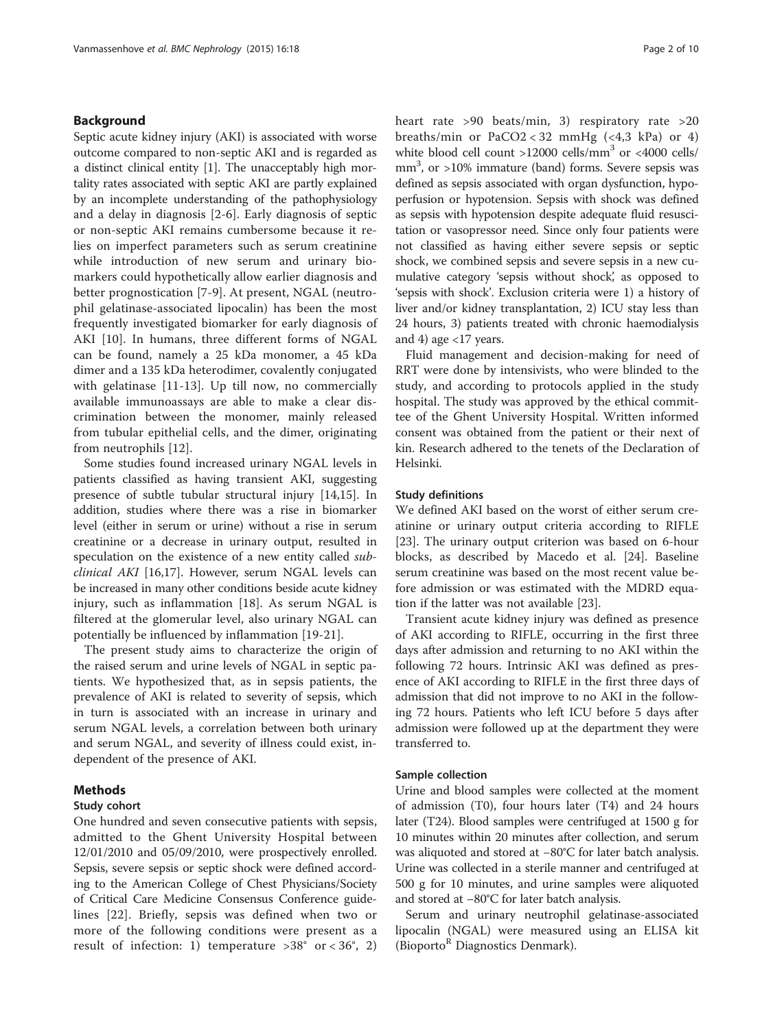# Background

Septic acute kidney injury (AKI) is associated with worse outcome compared to non-septic AKI and is regarded as a distinct clinical entity [[1\]](#page-9-0). The unacceptably high mortality rates associated with septic AKI are partly explained by an incomplete understanding of the pathophysiology and a delay in diagnosis [\[2-6](#page-9-0)]. Early diagnosis of septic or non-septic AKI remains cumbersome because it relies on imperfect parameters such as serum creatinine while introduction of new serum and urinary biomarkers could hypothetically allow earlier diagnosis and better prognostication [[7-9\]](#page-9-0). At present, NGAL (neutrophil gelatinase-associated lipocalin) has been the most frequently investigated biomarker for early diagnosis of AKI [[10\]](#page-9-0). In humans, three different forms of NGAL can be found, namely a 25 kDa monomer, a 45 kDa dimer and a 135 kDa heterodimer, covalently conjugated with gelatinase [\[11](#page-9-0)-[13\]](#page-9-0). Up till now, no commercially available immunoassays are able to make a clear discrimination between the monomer, mainly released from tubular epithelial cells, and the dimer, originating from neutrophils [[12\]](#page-9-0).

Some studies found increased urinary NGAL levels in patients classified as having transient AKI, suggesting presence of subtle tubular structural injury [[14,15\]](#page-9-0). In addition, studies where there was a rise in biomarker level (either in serum or urine) without a rise in serum creatinine or a decrease in urinary output, resulted in speculation on the existence of a new entity called subclinical AKI [\[16,17](#page-9-0)]. However, serum NGAL levels can be increased in many other conditions beside acute kidney injury, such as inflammation [\[18](#page-9-0)]. As serum NGAL is filtered at the glomerular level, also urinary NGAL can potentially be influenced by inflammation [[19-21](#page-9-0)].

The present study aims to characterize the origin of the raised serum and urine levels of NGAL in septic patients. We hypothesized that, as in sepsis patients, the prevalence of AKI is related to severity of sepsis, which in turn is associated with an increase in urinary and serum NGAL levels, a correlation between both urinary and serum NGAL, and severity of illness could exist, independent of the presence of AKI.

# Methods

#### Study cohort

One hundred and seven consecutive patients with sepsis, admitted to the Ghent University Hospital between 12/01/2010 and 05/09/2010, were prospectively enrolled. Sepsis, severe sepsis or septic shock were defined according to the American College of Chest Physicians/Society of Critical Care Medicine Consensus Conference guidelines [\[22\]](#page-9-0). Briefly, sepsis was defined when two or more of the following conditions were present as a result of infection: 1) temperature  $>38^\circ$  or  $< 36^\circ$ , 2) heart rate >90 beats/min, 3) respiratory rate >20 breaths/min or  $PaCO2 < 32$  mmHg  $( $4,3$  kPa)$  or 4) white blood cell count  $>12000$  cells/mm<sup>3</sup> or <4000 cells/ mm<sup>3</sup>, or >10% immature (band) forms. Severe sepsis was defined as sepsis associated with organ dysfunction, hypoperfusion or hypotension. Sepsis with shock was defined as sepsis with hypotension despite adequate fluid resuscitation or vasopressor need. Since only four patients were not classified as having either severe sepsis or septic shock, we combined sepsis and severe sepsis in a new cumulative category 'sepsis without shock', as opposed to 'sepsis with shock'. Exclusion criteria were 1) a history of liver and/or kidney transplantation, 2) ICU stay less than 24 hours, 3) patients treated with chronic haemodialysis and 4) age <17 years.

Fluid management and decision-making for need of RRT were done by intensivists, who were blinded to the study, and according to protocols applied in the study hospital. The study was approved by the ethical committee of the Ghent University Hospital. Written informed consent was obtained from the patient or their next of kin. Research adhered to the tenets of the Declaration of Helsinki.

# Study definitions

We defined AKI based on the worst of either serum creatinine or urinary output criteria according to RIFLE [[23\]](#page-9-0). The urinary output criterion was based on 6-hour blocks, as described by Macedo et al. [[24\]](#page-9-0). Baseline serum creatinine was based on the most recent value before admission or was estimated with the MDRD equation if the latter was not available [\[23\]](#page-9-0).

Transient acute kidney injury was defined as presence of AKI according to RIFLE, occurring in the first three days after admission and returning to no AKI within the following 72 hours. Intrinsic AKI was defined as presence of AKI according to RIFLE in the first three days of admission that did not improve to no AKI in the following 72 hours. Patients who left ICU before 5 days after admission were followed up at the department they were transferred to.

# Sample collection

Urine and blood samples were collected at the moment of admission (T0), four hours later (T4) and 24 hours later (T24). Blood samples were centrifuged at 1500 g for 10 minutes within 20 minutes after collection, and serum was aliquoted and stored at −80°C for later batch analysis. Urine was collected in a sterile manner and centrifuged at 500 g for 10 minutes, and urine samples were aliquoted and stored at −80°C for later batch analysis.

Serum and urinary neutrophil gelatinase-associated lipocalin (NGAL) were measured using an ELISA kit (Bioporto<sup>R</sup> Diagnostics Denmark).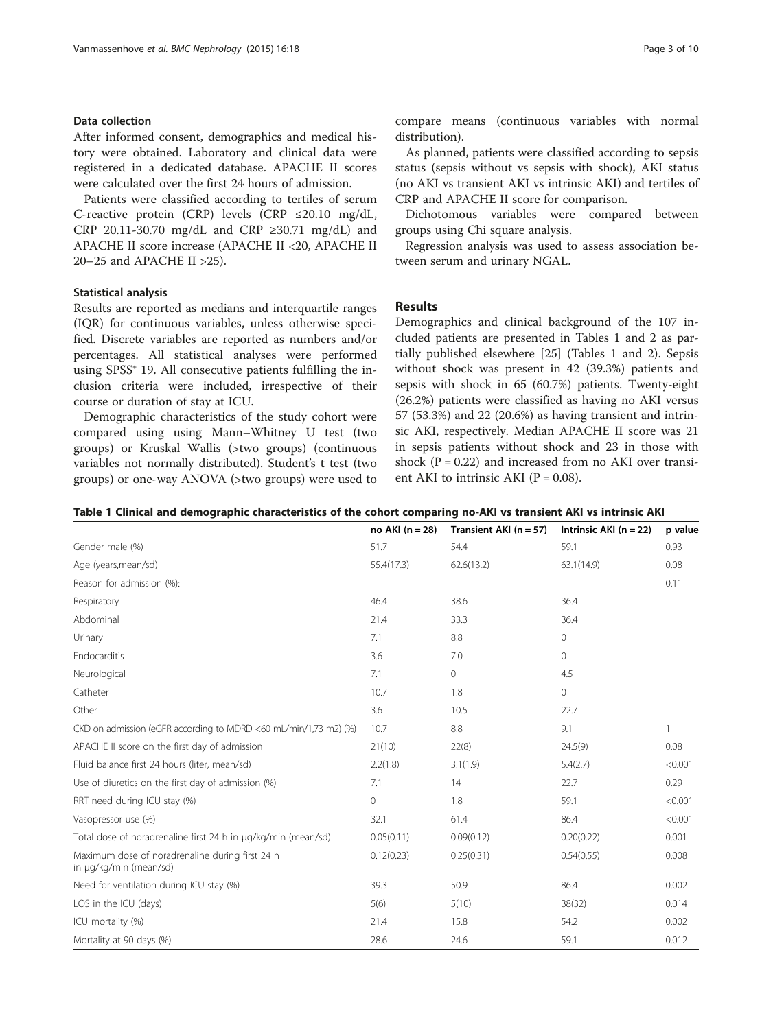#### <span id="page-2-0"></span>Data collection

After informed consent, demographics and medical history were obtained. Laboratory and clinical data were registered in a dedicated database. APACHE II scores were calculated over the first 24 hours of admission.

Patients were classified according to tertiles of serum C-reactive protein (CRP) levels (CRP ≤20.10 mg/dL, CRP 20.11-30.70 mg/dL and CRP ≥30.71 mg/dL) and APACHE II score increase (APACHE II <20, APACHE II 20–25 and APACHE II >25).

#### Statistical analysis

Results are reported as medians and interquartile ranges (IQR) for continuous variables, unless otherwise specified. Discrete variables are reported as numbers and/or percentages. All statistical analyses were performed using SPSS<sup>®</sup> 19. All consecutive patients fulfilling the inclusion criteria were included, irrespective of their course or duration of stay at ICU.

Demographic characteristics of the study cohort were compared using using Mann–Whitney U test (two groups) or Kruskal Wallis (>two groups) (continuous variables not normally distributed). Student's t test (two groups) or one-way ANOVA (>two groups) were used to compare means (continuous variables with normal distribution).

As planned, patients were classified according to sepsis status (sepsis without vs sepsis with shock), AKI status (no AKI vs transient AKI vs intrinsic AKI) and tertiles of CRP and APACHE II score for comparison.

Dichotomous variables were compared between groups using Chi square analysis.

Regression analysis was used to assess association between serum and urinary NGAL.

# Results

Demographics and clinical background of the 107 included patients are presented in Tables 1 and [2](#page-3-0) as partially published elsewhere [[25\]](#page-9-0) (Tables 1 and [2](#page-3-0)). Sepsis without shock was present in 42 (39.3%) patients and sepsis with shock in 65 (60.7%) patients. Twenty-eight (26.2%) patients were classified as having no AKI versus 57 (53.3%) and 22 (20.6%) as having transient and intrinsic AKI, respectively. Median APACHE II score was 21 in sepsis patients without shock and 23 in those with shock  $(P = 0.22)$  and increased from no AKI over transient AKI to intrinsic AKI  $(P = 0.08)$ .

|                                                                           | no AKI $(n = 28)$ | Transient AKI $(n = 57)$ | Intrinsic AKI $(n = 22)$ | p value |
|---------------------------------------------------------------------------|-------------------|--------------------------|--------------------------|---------|
| Gender male (%)                                                           | 51.7              | 54.4                     | 59.1                     | 0.93    |
| Age (years, mean/sd)                                                      | 55.4(17.3)        | 62.6(13.2)               | 63.1(14.9)               | 0.08    |
| Reason for admission (%):                                                 |                   |                          |                          | 0.11    |
| Respiratory                                                               | 46.4              | 38.6                     | 36.4                     |         |
| Abdominal                                                                 | 21.4              | 33.3                     | 36.4                     |         |
| Urinary                                                                   | 7.1               | 8.8                      | 0                        |         |
| Endocarditis                                                              | 3.6               | 7.0                      | 0                        |         |
| Neurological                                                              | 7.1               | 0                        | 4.5                      |         |
| Catheter                                                                  | 10.7              | 1.8                      | 0                        |         |
| Other                                                                     | 3.6               | 10.5                     | 22.7                     |         |
| CKD on admission (eGFR according to MDRD <60 mL/min/1,73 m2) (%)          | 10.7              | 8.8                      | 9.1                      | 1       |
| APACHE II score on the first day of admission                             | 21(10)            | 22(8)                    | 24.5(9)                  | 0.08    |
| Fluid balance first 24 hours (liter, mean/sd)                             | 2.2(1.8)          | 3.1(1.9)                 | 5.4(2.7)                 | < 0.001 |
| Use of diuretics on the first day of admission (%)                        | 7.1               | 14                       | 22.7                     | 0.29    |
| RRT need during ICU stay (%)                                              | 0                 | 1.8                      | 59.1                     | < 0.001 |
| Vasopressor use (%)                                                       | 32.1              | 61.4                     | 86.4                     | < 0.001 |
| Total dose of noradrenaline first 24 h in µg/kg/min (mean/sd)             | 0.05(0.11)        | 0.09(0.12)               | 0.20(0.22)               | 0.001   |
| Maximum dose of noradrenaline during first 24 h<br>in µg/kg/min (mean/sd) | 0.12(0.23)        | 0.25(0.31)               | 0.54(0.55)               | 0.008   |
| Need for ventilation during ICU stay (%)                                  | 39.3              | 50.9                     | 86.4                     | 0.002   |
| LOS in the ICU (days)                                                     | 5(6)              | 5(10)                    | 38(32)                   | 0.014   |
| ICU mortality (%)                                                         | 21.4              | 15.8                     | 54.2                     | 0.002   |
| Mortality at 90 days (%)                                                  | 28.6              | 24.6                     | 59.1                     | 0.012   |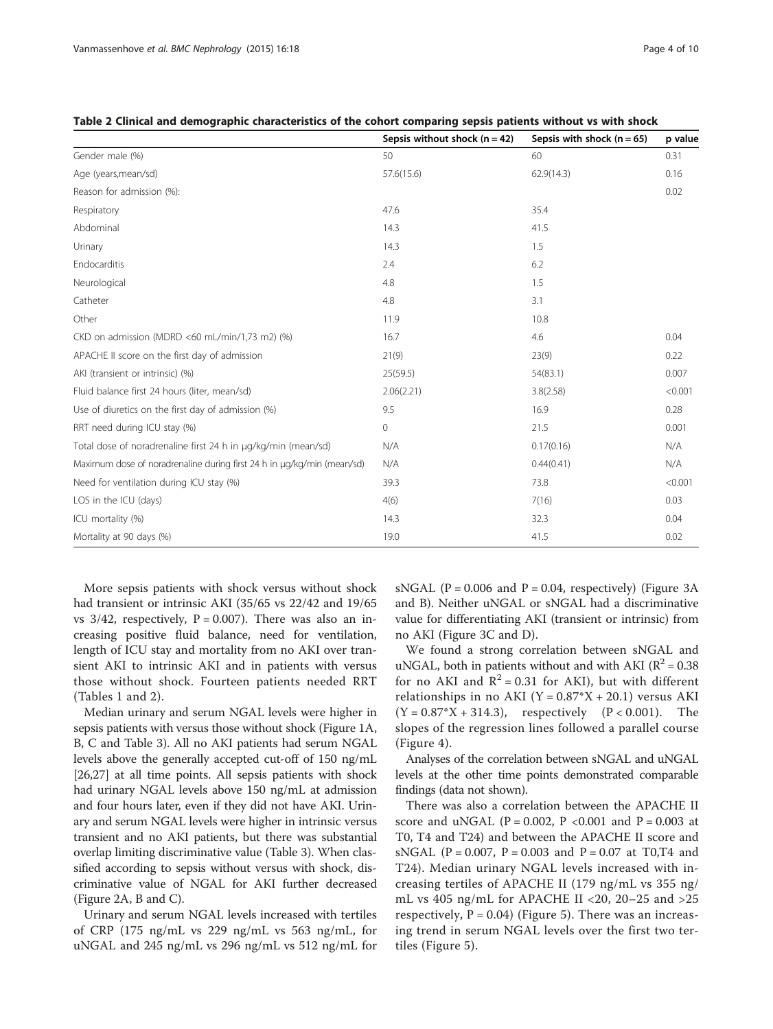|                                                                        | Sepsis without shock $(n = 42)$ | Sepsis with shock $(n = 65)$ | p value |
|------------------------------------------------------------------------|---------------------------------|------------------------------|---------|
| Gender male (%)                                                        | 50                              | 60                           | 0.31    |
| Age (years, mean/sd)                                                   | 57.6(15.6)                      | 62.9(14.3)                   | 0.16    |
| Reason for admission (%):                                              |                                 |                              | 0.02    |
| Respiratory                                                            | 47.6                            | 35.4                         |         |
| Abdominal                                                              | 14.3                            | 41.5                         |         |
| Urinary                                                                | 14.3                            | 1.5                          |         |
| Endocarditis                                                           | 2.4                             | 6.2                          |         |
| Neurological                                                           | 4.8                             | 1.5                          |         |
| Catheter                                                               | 4.8                             | 3.1                          |         |
| Other                                                                  | 11.9                            | 10.8                         |         |
| CKD on admission (MDRD <60 mL/min/1,73 m2) (%)                         | 16.7                            | 4.6                          | 0.04    |
| APACHE II score on the first day of admission                          | 21(9)                           | 23(9)                        | 0.22    |
| AKI (transient or intrinsic) (%)                                       | 25(59.5)                        | 54(83.1)                     | 0.007   |
| Fluid balance first 24 hours (liter, mean/sd)                          | 2.06(2.21)                      | 3.8(2.58)                    | < 0.001 |
| Use of diuretics on the first day of admission (%)                     | 9.5                             | 16.9                         | 0.28    |
| RRT need during ICU stay (%)                                           | $\circ$                         | 21.5                         | 0.001   |
| Total dose of noradrenaline first 24 h in µg/kg/min (mean/sd)          | N/A                             | 0.17(0.16)                   | N/A     |
| Maximum dose of noradrenaline during first 24 h in µg/kg/min (mean/sd) | N/A                             | 0.44(0.41)                   | N/A     |
| Need for ventilation during ICU stay (%)                               | 39.3                            | 73.8                         | < 0.001 |
| LOS in the ICU (days)                                                  | 4(6)                            | 7(16)                        | 0.03    |
| ICU mortality (%)                                                      | 14.3                            | 32.3                         | 0.04    |
| Mortality at 90 days (%)                                               | 19.0                            | 41.5                         | 0.02    |

<span id="page-3-0"></span>

| Table 2 Clinical and demographic characteristics of the cohort comparing sepsis patients without vs with shock |  |  |  |
|----------------------------------------------------------------------------------------------------------------|--|--|--|
|----------------------------------------------------------------------------------------------------------------|--|--|--|

More sepsis patients with shock versus without shock had transient or intrinsic AKI (35/65 vs 22/42 and 19/65 vs  $3/42$ , respectively,  $P = 0.007$ ). There was also an increasing positive fluid balance, need for ventilation, length of ICU stay and mortality from no AKI over transient AKI to intrinsic AKI and in patients with versus those without shock. Fourteen patients needed RRT (Tables [1](#page-2-0) and 2).

Median urinary and serum NGAL levels were higher in sepsis patients with versus those without shock (Figure [1](#page-4-0)A, B, C and Table [3\)](#page-5-0). All no AKI patients had serum NGAL levels above the generally accepted cut-off of 150 ng/mL [[26,27](#page-9-0)] at all time points. All sepsis patients with shock had urinary NGAL levels above 150 ng/mL at admission and four hours later, even if they did not have AKI. Urinary and serum NGAL levels were higher in intrinsic versus transient and no AKI patients, but there was substantial overlap limiting discriminative value (Table [3\)](#page-5-0). When classified according to sepsis without versus with shock, discriminative value of NGAL for AKI further decreased (Figure [2](#page-5-0)A, B and C).

Urinary and serum NGAL levels increased with tertiles of CRP (175 ng/mL vs 229 ng/mL vs 563 ng/mL, for uNGAL and 245 ng/mL vs 296 ng/mL vs 512 ng/mL for sNGAL ( $P = 0.006$  and  $P = 0.04$ , respectively) (Figure [3A](#page-6-0) and B). Neither uNGAL or sNGAL had a discriminative value for differentiating AKI (transient or intrinsic) from no AKI (Figure [3C](#page-6-0) and D).

We found a strong correlation between sNGAL and uNGAL, both in patients without and with AKI ( $\mathbb{R}^2$  = 0.38 for no AKI and  $R^2 = 0.31$  for AKI), but with different relationships in no AKI (Y =  $0.87*X + 20.1$ ) versus AKI  $(Y = 0.87 * X + 314.3)$ , respectively  $(P < 0.001)$ . The slopes of the regression lines followed a parallel course (Figure [4\)](#page-7-0).

Analyses of the correlation between sNGAL and uNGAL levels at the other time points demonstrated comparable findings (data not shown).

There was also a correlation between the APACHE II score and uNGAL (P = 0.002, P < 0.001 and P = 0.003 at T0, T4 and T24) and between the APACHE II score and sNGAL (P = 0.007, P = 0.003 and P = 0.07 at T0,T4 and T24). Median urinary NGAL levels increased with increasing tertiles of APACHE II (179 ng/mL vs 355 ng/ mL vs 405 ng/mL for APACHE II <20, 20–25 and >25 respectively,  $P = 0.04$ ) (Figure [5](#page-8-0)). There was an increasing trend in serum NGAL levels over the first two tertiles (Figure [5\)](#page-8-0).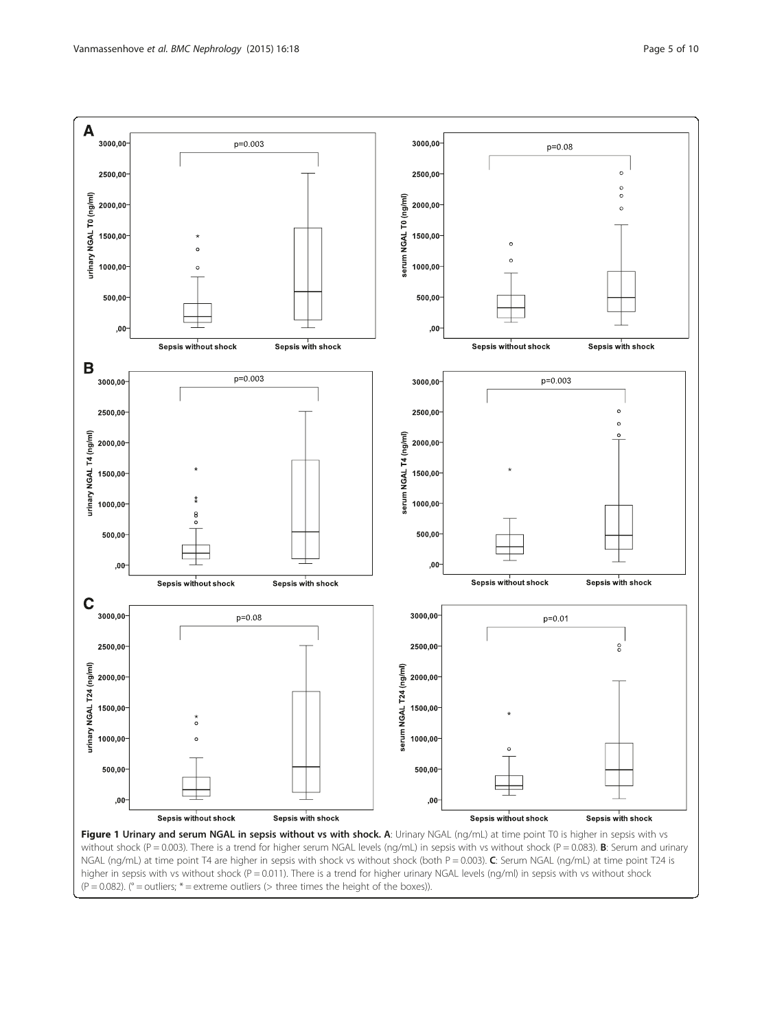<span id="page-4-0"></span>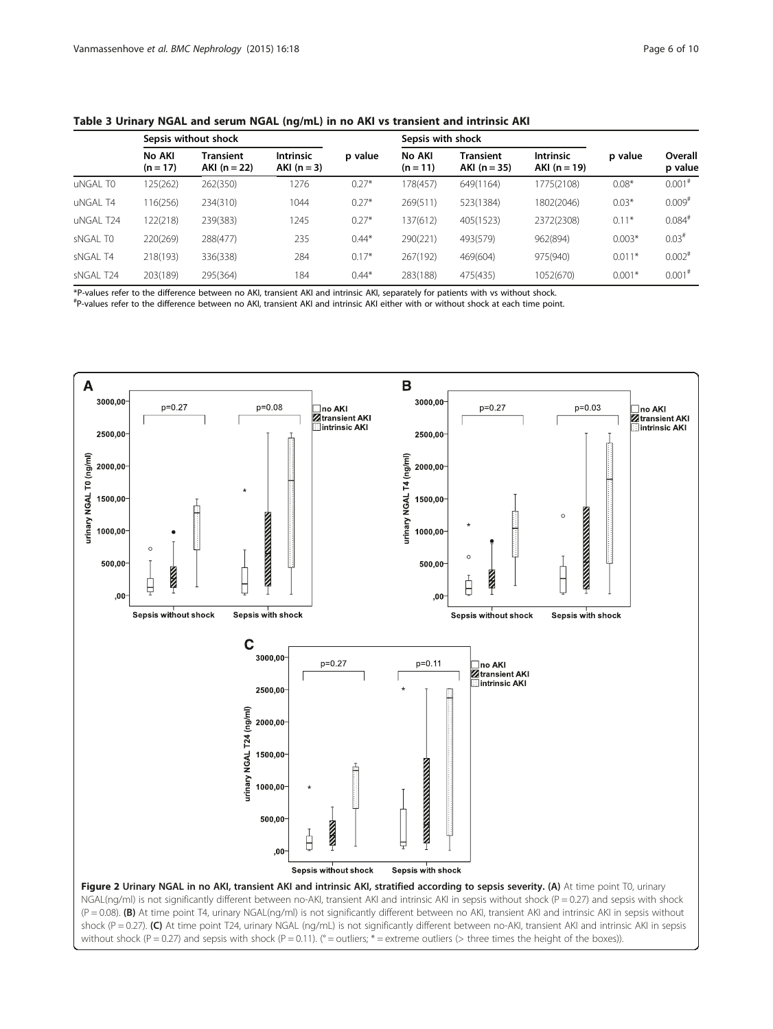|           | Sepsis without shock |                            |                                 | Sepsis with shock |                      |                                   |                                   |          |                      |
|-----------|----------------------|----------------------------|---------------------------------|-------------------|----------------------|-----------------------------------|-----------------------------------|----------|----------------------|
|           | No AKI<br>$(n = 17)$ | Transient<br>$AKI(n = 22)$ | <b>Intrinsic</b><br>AKI $(n=3)$ | p value           | No AKI<br>$(n = 11)$ | <b>Transient</b><br>$AKI(n = 35)$ | <b>Intrinsic</b><br>$AKI(n = 19)$ | p value  | Overall<br>p value   |
| uNGAL TO  | 125(262)             | 262(350)                   | 1276                            | $0.27*$           | 178(457)             | 649(1164)                         | 1775(2108)                        | $0.08*$  | $0.001$ <sup>#</sup> |
| uNGAL T4  | 16(256)              | 234(310)                   | 1044                            | $0.27*$           | 269(511)             | 523(1384)                         | 1802(2046)                        | $0.03*$  | $0.009$ <sup>#</sup> |
| uNGAL T24 | 122(218)             | 239(383)                   | 1245                            | $0.27*$           | 137(612)             | 405(1523)                         | 2372(2308)                        | $0.11*$  | $0.084$ <sup>#</sup> |
| sNGAL TO  | 220(269)             | 288(477)                   | 235                             | $0.44*$           | 290(221)             | 493(579)                          | 962(894)                          | $0.003*$ | $0.03$ <sup>#</sup>  |
| sNGAL T4  | 218(193)             | 336(338)                   | 284                             | $0.17*$           | 267(192)             | 469(604)                          | 975(940)                          | $0.011*$ | $0.002$ <sup>#</sup> |
| sNGAL T24 | 203(189)             | 295(364)                   | 184                             | $0.44*$           | 283(188)             | 475(435)                          | 1052(670)                         | $0.001*$ | $0.001$ <sup>#</sup> |

<span id="page-5-0"></span>Table 3 Urinary NGAL and serum NGAL (ng/mL) in no AKI vs transient and intrinsic AKI

\*P-values refer to the difference between no AKI, transient AKI and intrinsic AKI, separately for patients with vs without shock.

# P-values refer to the difference between no AKI, transient AKI and intrinsic AKI either with or without shock at each time point.



NGAL(ng/ml) is not significantly different between no-AKI, transient AKI and intrinsic AKI in sepsis without shock (P = 0.27) and sepsis with shock  $(P = 0.08)$ . (B) At time point T4, urinary NGAL(ng/ml) is not significantly different between no AKI, transient AKI and intrinsic AKI in sepsis without shock (P = 0.27). (C) At time point T24, urinary NGAL (ng/mL) is not significantly different between no-AKI, transient AKI and intrinsic AKI in sepsis without shock (P = 0.27) and sepsis with shock (P = 0.11). ( $^{\circ}$  = outliers;  $*$  = extreme outliers (> three times the height of the boxes)).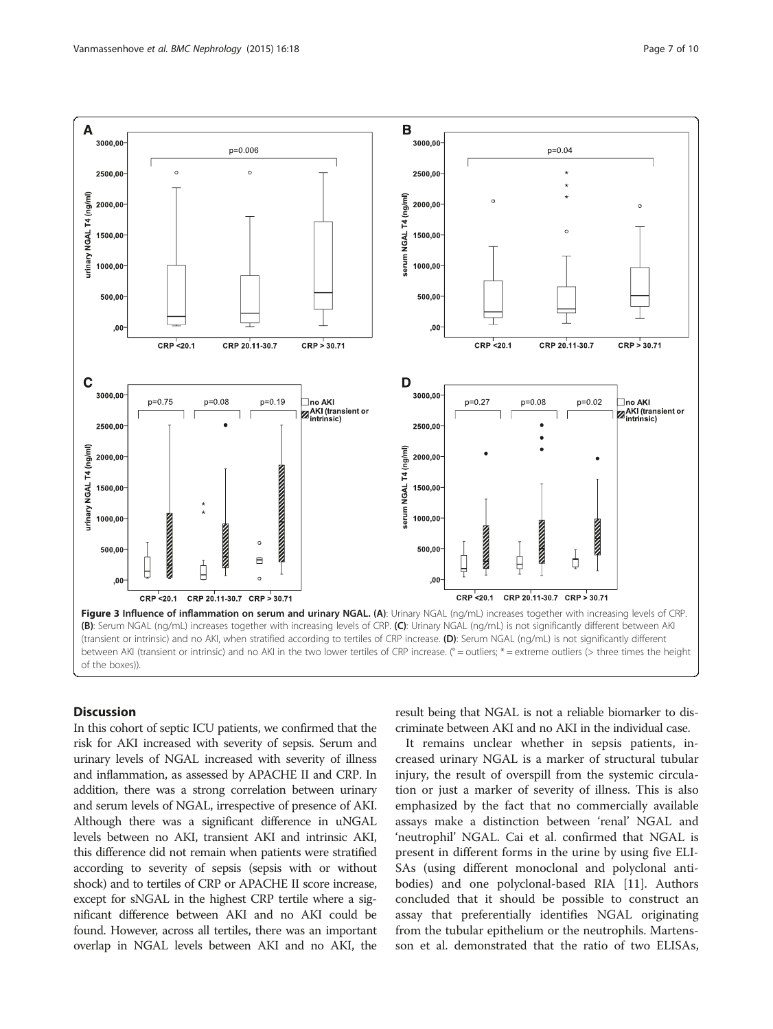<span id="page-6-0"></span>

#### **Discussion**

In this cohort of septic ICU patients, we confirmed that the risk for AKI increased with severity of sepsis. Serum and urinary levels of NGAL increased with severity of illness and inflammation, as assessed by APACHE II and CRP. In addition, there was a strong correlation between urinary and serum levels of NGAL, irrespective of presence of AKI. Although there was a significant difference in uNGAL levels between no AKI, transient AKI and intrinsic AKI, this difference did not remain when patients were stratified according to severity of sepsis (sepsis with or without shock) and to tertiles of CRP or APACHE II score increase, except for sNGAL in the highest CRP tertile where a significant difference between AKI and no AKI could be found. However, across all tertiles, there was an important overlap in NGAL levels between AKI and no AKI, the

result being that NGAL is not a reliable biomarker to discriminate between AKI and no AKI in the individual case.

It remains unclear whether in sepsis patients, increased urinary NGAL is a marker of structural tubular injury, the result of overspill from the systemic circulation or just a marker of severity of illness. This is also emphasized by the fact that no commercially available assays make a distinction between 'renal' NGAL and 'neutrophil' NGAL. Cai et al. confirmed that NGAL is present in different forms in the urine by using five ELI-SAs (using different monoclonal and polyclonal antibodies) and one polyclonal-based RIA [[11\]](#page-9-0). Authors concluded that it should be possible to construct an assay that preferentially identifies NGAL originating from the tubular epithelium or the neutrophils. Martensson et al. demonstrated that the ratio of two ELISAs,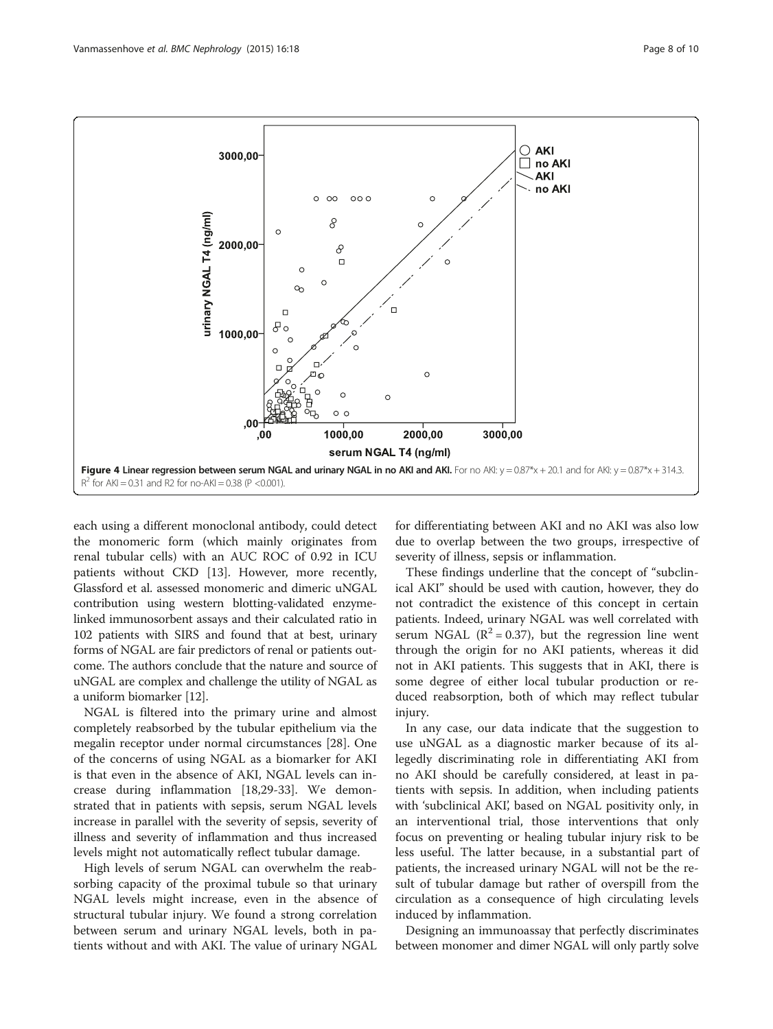<span id="page-7-0"></span>

each using a different monoclonal antibody, could detect the monomeric form (which mainly originates from renal tubular cells) with an AUC ROC of 0.92 in ICU patients without CKD [[13](#page-9-0)]. However, more recently, Glassford et al. assessed monomeric and dimeric uNGAL contribution using western blotting-validated enzymelinked immunosorbent assays and their calculated ratio in 102 patients with SIRS and found that at best, urinary forms of NGAL are fair predictors of renal or patients outcome. The authors conclude that the nature and source of uNGAL are complex and challenge the utility of NGAL as a uniform biomarker [[12](#page-9-0)].

NGAL is filtered into the primary urine and almost completely reabsorbed by the tubular epithelium via the megalin receptor under normal circumstances [\[28](#page-9-0)]. One of the concerns of using NGAL as a biomarker for AKI is that even in the absence of AKI, NGAL levels can increase during inflammation [\[18,29-33](#page-9-0)]. We demonstrated that in patients with sepsis, serum NGAL levels increase in parallel with the severity of sepsis, severity of illness and severity of inflammation and thus increased levels might not automatically reflect tubular damage.

High levels of serum NGAL can overwhelm the reabsorbing capacity of the proximal tubule so that urinary NGAL levels might increase, even in the absence of structural tubular injury. We found a strong correlation between serum and urinary NGAL levels, both in patients without and with AKI. The value of urinary NGAL for differentiating between AKI and no AKI was also low due to overlap between the two groups, irrespective of severity of illness, sepsis or inflammation.

These findings underline that the concept of "subclinical AKI" should be used with caution, however, they do not contradict the existence of this concept in certain patients. Indeed, urinary NGAL was well correlated with serum NGAL ( $\mathbb{R}^2$  = 0.37), but the regression line went through the origin for no AKI patients, whereas it did not in AKI patients. This suggests that in AKI, there is some degree of either local tubular production or reduced reabsorption, both of which may reflect tubular injury.

In any case, our data indicate that the suggestion to use uNGAL as a diagnostic marker because of its allegedly discriminating role in differentiating AKI from no AKI should be carefully considered, at least in patients with sepsis. In addition, when including patients with 'subclinical AKI', based on NGAL positivity only, in an interventional trial, those interventions that only focus on preventing or healing tubular injury risk to be less useful. The latter because, in a substantial part of patients, the increased urinary NGAL will not be the result of tubular damage but rather of overspill from the circulation as a consequence of high circulating levels induced by inflammation.

Designing an immunoassay that perfectly discriminates between monomer and dimer NGAL will only partly solve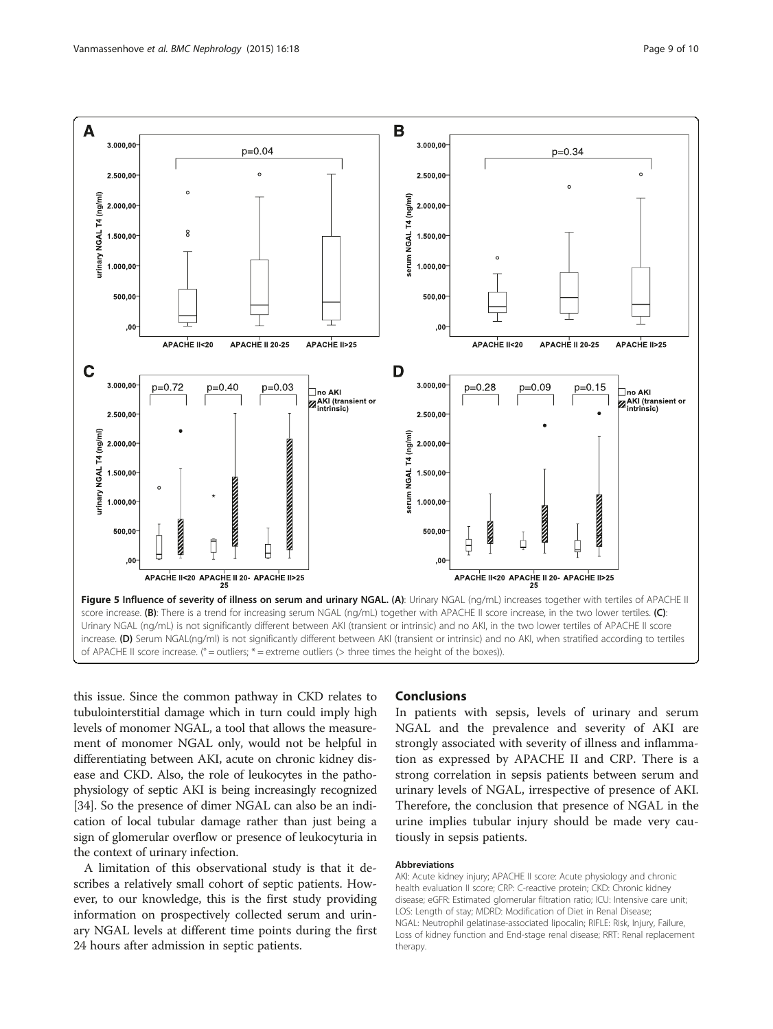<span id="page-8-0"></span>

of APACHE II score increase. ( $\degree$  = outliers;  $\degree$  = extreme outliers ( $>$  three times the height of the boxes)).

this issue. Since the common pathway in CKD relates to tubulointerstitial damage which in turn could imply high levels of monomer NGAL, a tool that allows the measurement of monomer NGAL only, would not be helpful in differentiating between AKI, acute on chronic kidney disease and CKD. Also, the role of leukocytes in the pathophysiology of septic AKI is being increasingly recognized [[34](#page-9-0)]. So the presence of dimer NGAL can also be an indication of local tubular damage rather than just being a sign of glomerular overflow or presence of leukocyturia in the context of urinary infection.

A limitation of this observational study is that it describes a relatively small cohort of septic patients. However, to our knowledge, this is the first study providing information on prospectively collected serum and urinary NGAL levels at different time points during the first 24 hours after admission in septic patients.

#### **Conclusions**

In patients with sepsis, levels of urinary and serum NGAL and the prevalence and severity of AKI are strongly associated with severity of illness and inflammation as expressed by APACHE II and CRP. There is a strong correlation in sepsis patients between serum and urinary levels of NGAL, irrespective of presence of AKI. Therefore, the conclusion that presence of NGAL in the urine implies tubular injury should be made very cautiously in sepsis patients.

#### Abbreviations

AKI: Acute kidney injury; APACHE II score: Acute physiology and chronic health evaluation II score; CRP: C-reactive protein; CKD: Chronic kidney disease; eGFR: Estimated glomerular filtration ratio; ICU: Intensive care unit; LOS: Length of stay; MDRD: Modification of Diet in Renal Disease; NGAL: Neutrophil gelatinase-associated lipocalin; RIFLE: Risk, Injury, Failure, Loss of kidney function and End-stage renal disease; RRT: Renal replacement therapy.